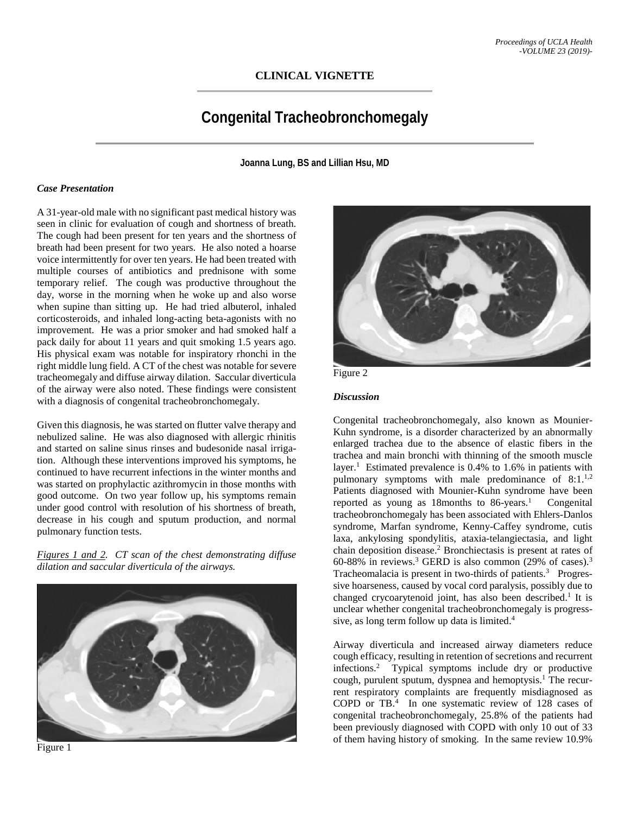## **CLINICAL VIGNETTE**

# **Congenital Tracheobronchomegaly**

**Joanna Lung, BS and Lillian Hsu, MD**

#### *Case Presentation*

A 31-year-old male with no significant past medical history was seen in clinic for evaluation of cough and shortness of breath. The cough had been present for ten years and the shortness of breath had been present for two years. He also noted a hoarse voice intermittently for over ten years. He had been treated with multiple courses of antibiotics and prednisone with some temporary relief. The cough was productive throughout the day, worse in the morning when he woke up and also worse when supine than sitting up. He had tried albuterol, inhaled corticosteroids, and inhaled long-acting beta-agonists with no improvement. He was a prior smoker and had smoked half a pack daily for about 11 years and quit smoking 1.5 years ago. His physical exam was notable for inspiratory rhonchi in the right middle lung field. A CT of the chest was notable for severe tracheomegaly and diffuse airway dilation. Saccular diverticula of the airway were also noted. These findings were consistent with a diagnosis of congenital tracheobronchomegaly.

Given this diagnosis, he was started on flutter valve therapy and nebulized saline. He was also diagnosed with allergic rhinitis and started on saline sinus rinses and budesonide nasal irrigation. Although these interventions improved his symptoms, he continued to have recurrent infections in the winter months and was started on prophylactic azithromycin in those months with good outcome. On two year follow up, his symptoms remain under good control with resolution of his shortness of breath, decrease in his cough and sputum production, and normal pulmonary function tests.

*Figures 1 and 2. CT scan of the chest demonstrating diffuse dilation and saccular diverticula of the airways.*









#### *Discussion*

Congenital tracheobronchomegaly, also known as Mounier-Kuhn syndrome, is a disorder characterized by an abnormally enlarged trachea due to the absence of elastic fibers in the trachea and main bronchi with thinning of the smooth muscle layer.<sup>1</sup> Estimated prevalence is  $0.4\%$  to 1.6% in patients with pulmonary symptoms with male predominance of 8:1.<sup>1,2</sup> Patients diagnosed with Mounier-Kuhn syndrome have been reported as young as 18months to 86-years. 1 Congenital tracheobronchomegaly has been associated with Ehlers-Danlos syndrome, Marfan syndrome, Kenny-Caffey syndrome, cutis laxa, ankylosing spondylitis, ataxia-telangiectasia, and light chain deposition disease. <sup>2</sup> Bronchiectasis is present at rates of 60-88% in reviews.<sup>3</sup> GERD is also common  $(29%$  of cases).<sup>3</sup> Tracheomalacia is present in two-thirds of patients.<sup>3</sup> Progressive hoarseness, caused by vocal cord paralysis, possibly due to changed crycoarytenoid joint, has also been described.<sup>1</sup> It is unclear whether congenital tracheobronchomegaly is progresssive, as long term follow up data is limited. 4

Airway diverticula and increased airway diameters reduce cough efficacy, resulting in retention of secretions and recurrent infections. <sup>2</sup> Typical symptoms include dry or productive cough, purulent sputum, dyspnea and hemoptysis.<sup>1</sup> The recurrent respiratory complaints are frequently misdiagnosed as COPD or TB.<sup>4</sup> In one systematic review of 128 cases of congenital tracheobronchomegaly, 25.8% of the patients had been previously diagnosed with COPD with only 10 out of 33 of them having history of smoking. In the same review 10.9%